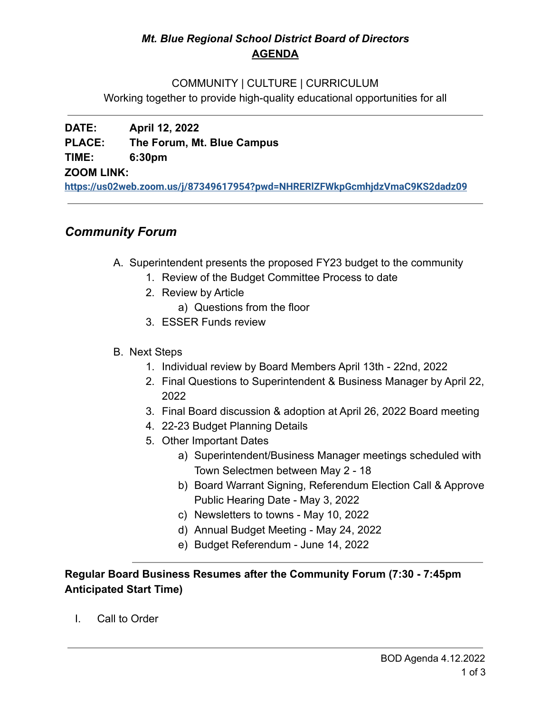## *Mt. Blue Regional School District Board of Directors* **AGENDA**

#### COMMUNITY | CULTURE | CURRICULUM

Working together to provide high-quality educational opportunities for all

## **DATE: April 12, 2022 PLACE: The Forum, Mt. Blue Campus TIME: 6:30pm ZOOM LINK:**

**<https://us02web.zoom.us/j/87349617954?pwd=NHRERlZFWkpGcmhjdzVmaC9KS2dadz09>**

# *Community Forum*

- A. Superintendent presents the proposed FY23 budget to the community
	- 1. Review of the Budget Committee Process to date
	- 2. Review by Article
		- a) Questions from the floor
	- 3. ESSER Funds review
- B. Next Steps
	- 1. Individual review by Board Members April 13th 22nd, 2022
	- 2. Final Questions to Superintendent & Business Manager by April 22, 2022
	- 3. Final Board discussion & adoption at April 26, 2022 Board meeting
	- 4. 22-23 Budget Planning Details
	- 5. Other Important Dates
		- a) Superintendent/Business Manager meetings scheduled with Town Selectmen between May 2 - 18
		- b) Board Warrant Signing, Referendum Election Call & Approve Public Hearing Date - May 3, 2022
		- c) Newsletters to towns May 10, 2022
		- d) Annual Budget Meeting May 24, 2022
		- e) Budget Referendum June 14, 2022

## **Regular Board Business Resumes after the Community Forum (7:30 - 7:45pm Anticipated Start Time)**

I. Call to Order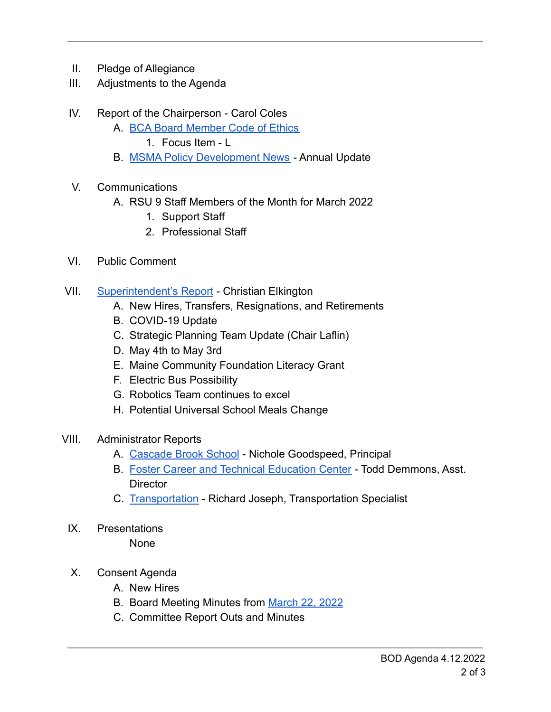- II. Pledge of Allegiance
- III. Adjustments to the Agenda
- IV. Report of the Chairperson Carol Coles
	- A. [BCA Board Member Code of Ethics](https://cdn.branchcms.com/yeQ4XpK43n-1155/docs/district/board-of-directors/policy-manual/section-b/BCA-Board-Member-Code-of-Ethics.pdf)
		- 1. Focus Item L
	- B. [MSMA Policy Development News](https://drive.google.com/file/d/1K8ProIZA2KuL9t4TpoZkfNhL3jm-KlxN/view?usp=sharing) Annual Update
- V. Communications
	- A. RSU 9 Staff Members of the Month for March 2022
		- 1. Support Staff
		- 2. Professional Staff
- VI. Public Comment
- VII. [Superintendent's Report](https://drive.google.com/file/d/1hbjK8KGF_Giyf0stoPt50OiV4KuE0XyM/view?usp=sharingKAAHa_rBI9ZGMiZ1AgT3ee0/edit?usp=sharing) Christian Elkington
	- A. New Hires, Transfers, Resignations, and Retirements
	- B. COVID-19 Update
	- C. Strategic Planning Team Update (Chair Laflin)
	- D. May 4th to May 3rd
	- E. Maine Community Foundation Literacy Grant
	- F. Electric Bus Possibility
	- G. Robotics Team continues to excel
	- H. Potential Universal School Meals Change
- VIII. Administrator Reports
	- A. [Cascade Brook School](https://drive.google.com/file/d/1ON9_SD_t_wl1Ffg1ZDSSVBKFSJG4fx9J/view?usp=sharing) Nichole Goodspeed, Principal
	- B. [Foster Career and Technical Education Center](https://drive.google.com/file/d/1HOEa-_OZweiXE3tIHDNz4dTmvWpGYp96/view?usp=sharing) Todd Demmons, Asst. **Director**
	- C. [Transportation](https://drive.google.com/file/d/1a7N5ZkZGdmbD3_8QFWKfK5Vf6YGwjTF1/view?usp=sharing) Richard Joseph, Transportation Specialist
	- IX. Presentations

**None** 

- X. Consent Agenda
	- A. New Hires
	- B. Board Meeting Minutes from [March 22, 2022](https://drive.google.com/file/d/1ub5DDWXoANdHJY4fb7eWsaW_wMEZeDUO/view?usp=sharing)
	- C. Committee Report Outs and Minutes